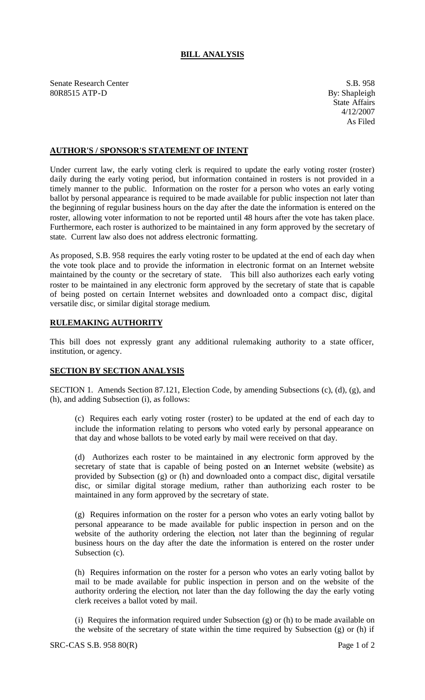## **BILL ANALYSIS**

Senate Research Center S.B. 958 80R8515 ATP-D By: Shapleigh

## **AUTHOR'S / SPONSOR'S STATEMENT OF INTENT**

Under current law, the early voting clerk is required to update the early voting roster (roster) daily during the early voting period, but information contained in rosters is not provided in a timely manner to the public. Information on the roster for a person who votes an early voting ballot by personal appearance is required to be made available for public inspection not later than the beginning of regular business hours on the day after the date the information is entered on the roster, allowing voter information to not be reported until 48 hours after the vote has taken place. Furthermore, each roster is authorized to be maintained in any form approved by the secretary of state. Current law also does not address electronic formatting.

As proposed, S.B. 958 requires the early voting roster to be updated at the end of each day when the vote took place and to provide the information in electronic format on an Internet website maintained by the county or the secretary of state. This bill also authorizes each early voting roster to be maintained in any electronic form approved by the secretary of state that is capable of being posted on certain Internet websites and downloaded onto a compact disc, digital versatile disc, or similar digital storage medium.

## **RULEMAKING AUTHORITY**

This bill does not expressly grant any additional rulemaking authority to a state officer, institution, or agency.

## **SECTION BY SECTION ANALYSIS**

SECTION 1. Amends Section 87.121, Election Code, by amending Subsections (c), (d), (g), and (h), and adding Subsection (i), as follows:

(c) Requires each early voting roster (roster) to be updated at the end of each day to include the information relating to persons who voted early by personal appearance on that day and whose ballots to be voted early by mail were received on that day.

(d) Authorizes each roster to be maintained in any electronic form approved by the secretary of state that is capable of being posted on an Internet website (website) as provided by Subsection (g) or (h) and downloaded onto a compact disc, digital versatile disc, or similar digital storage medium, rather than authorizing each roster to be maintained in any form approved by the secretary of state.

(g) Requires information on the roster for a person who votes an early voting ballot by personal appearance to be made available for public inspection in person and on the website of the authority ordering the election, not later than the beginning of regular business hours on the day after the date the information is entered on the roster under Subsection (c).

(h) Requires information on the roster for a person who votes an early voting ballot by mail to be made available for public inspection in person and on the website of the authority ordering the election, not later than the day following the day the early voting clerk receives a ballot voted by mail.

(i) Requires the information required under Subsection (g) or (h) to be made available on the website of the secretary of state within the time required by Subsection (g) or (h) if